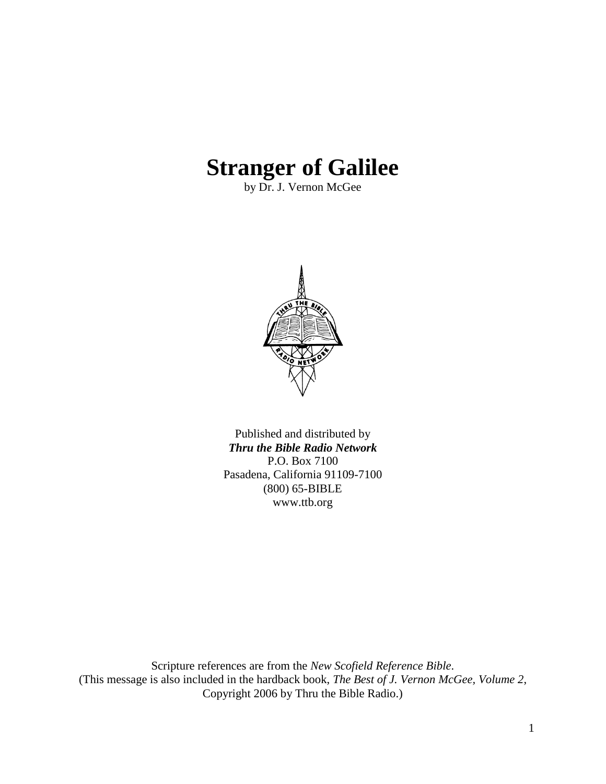# **Stranger of Galilee**

by Dr. J. Vernon McGee



Published and distributed by *Thru the Bible Radio Network* P.O. Box 7100 Pasadena, California 91109-7100 (800) 65-BIBLE www.ttb.org

Scripture references are from the *New Scofield Reference Bible*. (This message is also included in the hardback book, *The Best of J. Vernon McGee, Volume 2*, Copyright 2006 by Thru the Bible Radio.)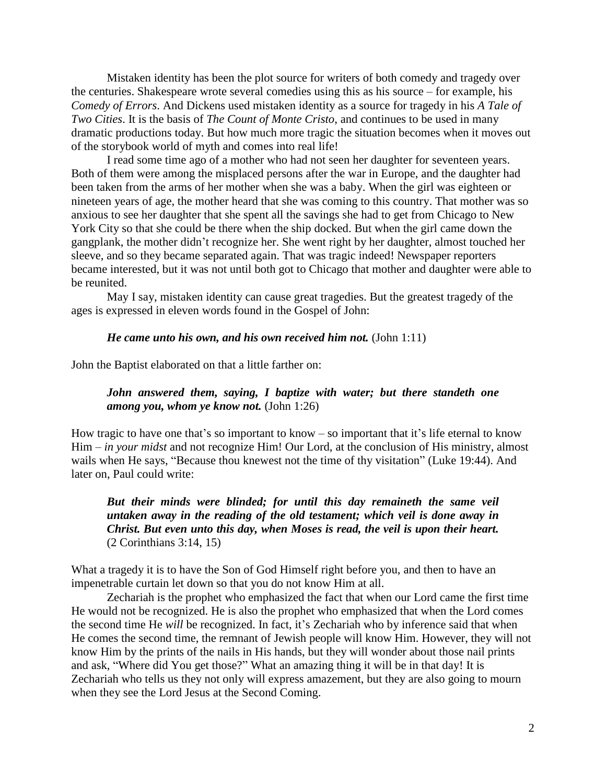Mistaken identity has been the plot source for writers of both comedy and tragedy over the centuries. Shakespeare wrote several comedies using this as his source – for example, his *Comedy of Errors*. And Dickens used mistaken identity as a source for tragedy in his *A Tale of Two Cities*. It is the basis of *The Count of Monte Cristo*, and continues to be used in many dramatic productions today. But how much more tragic the situation becomes when it moves out of the storybook world of myth and comes into real life!

I read some time ago of a mother who had not seen her daughter for seventeen years. Both of them were among the misplaced persons after the war in Europe, and the daughter had been taken from the arms of her mother when she was a baby. When the girl was eighteen or nineteen years of age, the mother heard that she was coming to this country. That mother was so anxious to see her daughter that she spent all the savings she had to get from Chicago to New York City so that she could be there when the ship docked. But when the girl came down the gangplank, the mother didn"t recognize her. She went right by her daughter, almost touched her sleeve, and so they became separated again. That was tragic indeed! Newspaper reporters became interested, but it was not until both got to Chicago that mother and daughter were able to be reunited.

May I say, mistaken identity can cause great tragedies. But the greatest tragedy of the ages is expressed in eleven words found in the Gospel of John:

#### *He came unto his own, and his own received him not.* (John 1:11)

John the Baptist elaborated on that a little farther on:

# *John answered them, saying, I baptize with water; but there standeth one among you, whom ye know not.* (John 1:26)

How tragic to have one that's so important to know  $-$  so important that it's life eternal to know Him – *in your midst* and not recognize Him! Our Lord, at the conclusion of His ministry, almost wails when He says, "Because thou knewest not the time of thy visitation" (Luke 19:44). And later on, Paul could write:

*But their minds were blinded; for until this day remaineth the same veil untaken away in the reading of the old testament; which veil is done away in Christ. But even unto this day, when Moses is read, the veil is upon their heart.* (2 Corinthians 3:14, 15)

What a tragedy it is to have the Son of God Himself right before you, and then to have an impenetrable curtain let down so that you do not know Him at all.

Zechariah is the prophet who emphasized the fact that when our Lord came the first time He would not be recognized. He is also the prophet who emphasized that when the Lord comes the second time He *will* be recognized. In fact, it's Zechariah who by inference said that when He comes the second time, the remnant of Jewish people will know Him. However, they will not know Him by the prints of the nails in His hands, but they will wonder about those nail prints and ask, "Where did You get those?" What an amazing thing it will be in that day! It is Zechariah who tells us they not only will express amazement, but they are also going to mourn when they see the Lord Jesus at the Second Coming.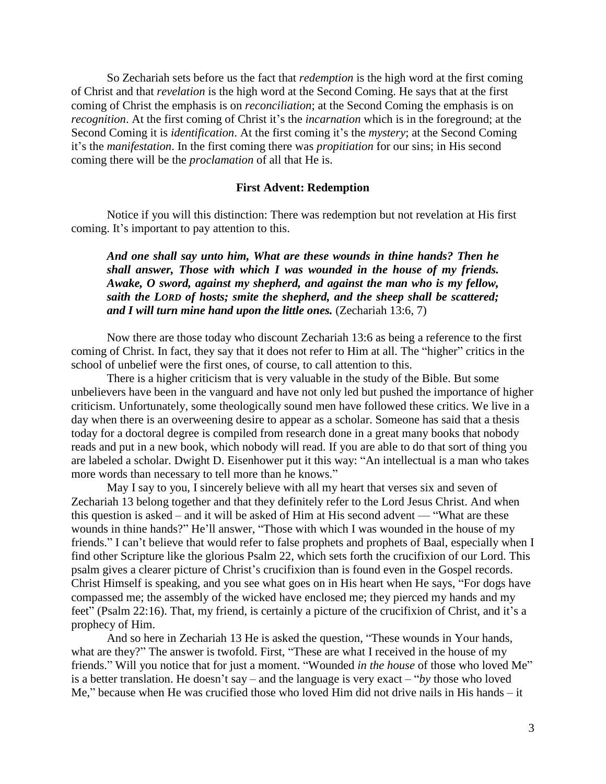So Zechariah sets before us the fact that *redemption* is the high word at the first coming of Christ and that *revelation* is the high word at the Second Coming. He says that at the first coming of Christ the emphasis is on *reconciliation*; at the Second Coming the emphasis is on *recognition*. At the first coming of Christ it's the *incarnation* which is in the foreground; at the Second Coming it is *identification*. At the first coming it's the *mystery*; at the Second Coming it"s the *manifestation*. In the first coming there was *propitiation* for our sins; in His second coming there will be the *proclamation* of all that He is.

### **First Advent: Redemption**

Notice if you will this distinction: There was redemption but not revelation at His first coming. It's important to pay attention to this.

*And one shall say unto him, What are these wounds in thine hands? Then he shall answer, Those with which I was wounded in the house of my friends. Awake, O sword, against my shepherd, and against the man who is my fellow, saith the LORD of hosts; smite the shepherd, and the sheep shall be scattered; and I will turn mine hand upon the little ones.* (Zechariah 13:6, 7)

Now there are those today who discount Zechariah 13:6 as being a reference to the first coming of Christ. In fact, they say that it does not refer to Him at all. The "higher" critics in the school of unbelief were the first ones, of course, to call attention to this.

There is a higher criticism that is very valuable in the study of the Bible. But some unbelievers have been in the vanguard and have not only led but pushed the importance of higher criticism. Unfortunately, some theologically sound men have followed these critics. We live in a day when there is an overweening desire to appear as a scholar. Someone has said that a thesis today for a doctoral degree is compiled from research done in a great many books that nobody reads and put in a new book, which nobody will read. If you are able to do that sort of thing you are labeled a scholar. Dwight D. Eisenhower put it this way: "An intellectual is a man who takes more words than necessary to tell more than he knows."

May I say to you, I sincerely believe with all my heart that verses six and seven of Zechariah 13 belong together and that they definitely refer to the Lord Jesus Christ. And when this question is asked – and it will be asked of Him at His second advent — "What are these wounds in thine hands?" He'll answer, "Those with which I was wounded in the house of my friends." I can"t believe that would refer to false prophets and prophets of Baal, especially when I find other Scripture like the glorious Psalm 22, which sets forth the crucifixion of our Lord. This psalm gives a clearer picture of Christ"s crucifixion than is found even in the Gospel records. Christ Himself is speaking, and you see what goes on in His heart when He says, "For dogs have compassed me; the assembly of the wicked have enclosed me; they pierced my hands and my feet" (Psalm 22:16). That, my friend, is certainly a picture of the crucifixion of Christ, and it's a prophecy of Him.

And so here in Zechariah 13 He is asked the question, "These wounds in Your hands, what are they?" The answer is twofold. First, "These are what I received in the house of my friends." Will you notice that for just a moment. "Wounded *in the house* of those who loved Me" is a better translation. He doesn"t say – and the language is very exact – "*by* those who loved Me," because when He was crucified those who loved Him did not drive nails in His hands – it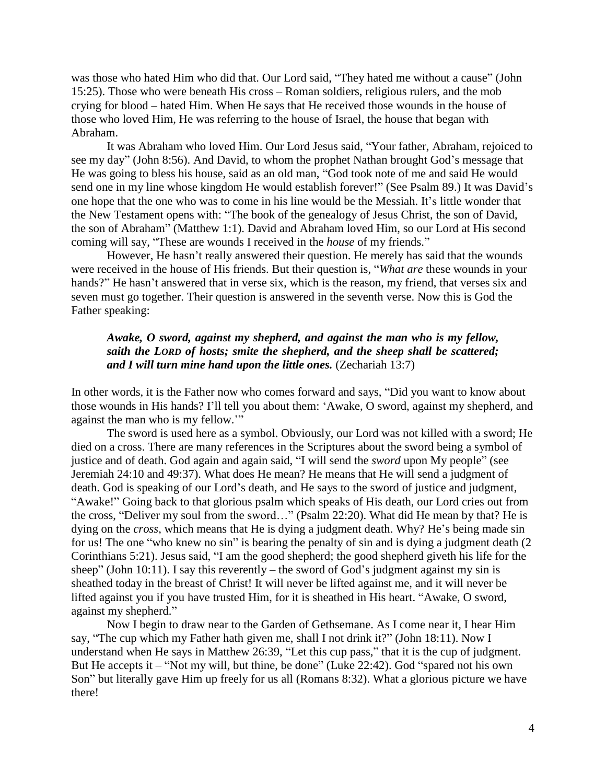was those who hated Him who did that. Our Lord said, "They hated me without a cause" (John 15:25). Those who were beneath His cross – Roman soldiers, religious rulers, and the mob crying for blood – hated Him. When He says that He received those wounds in the house of those who loved Him, He was referring to the house of Israel, the house that began with Abraham.

It was Abraham who loved Him. Our Lord Jesus said, "Your father, Abraham, rejoiced to see my day" (John 8:56). And David, to whom the prophet Nathan brought God's message that He was going to bless his house, said as an old man, "God took note of me and said He would send one in my line whose kingdom He would establish forever!" (See Psalm 89.) It was David"s one hope that the one who was to come in his line would be the Messiah. It"s little wonder that the New Testament opens with: "The book of the genealogy of Jesus Christ, the son of David, the son of Abraham" (Matthew 1:1). David and Abraham loved Him, so our Lord at His second coming will say, "These are wounds I received in the *house* of my friends."

However, He hasn't really answered their question. He merely has said that the wounds were received in the house of His friends. But their question is, "*What are* these wounds in your hands?" He hasn't answered that in verse six, which is the reason, my friend, that verses six and seven must go together. Their question is answered in the seventh verse. Now this is God the Father speaking:

## *Awake, O sword, against my shepherd, and against the man who is my fellow, saith the LORD of hosts; smite the shepherd, and the sheep shall be scattered; and I will turn mine hand upon the little ones.* (Zechariah 13:7)

In other words, it is the Father now who comes forward and says, "Did you want to know about those wounds in His hands? I"ll tell you about them: "Awake, O sword, against my shepherd, and against the man who is my fellow.""

The sword is used here as a symbol. Obviously, our Lord was not killed with a sword; He died on a cross. There are many references in the Scriptures about the sword being a symbol of justice and of death. God again and again said, "I will send the *sword* upon My people" (see Jeremiah 24:10 and 49:37). What does He mean? He means that He will send a judgment of death. God is speaking of our Lord"s death, and He says to the sword of justice and judgment, "Awake!" Going back to that glorious psalm which speaks of His death, our Lord cries out from the cross, "Deliver my soul from the sword…" (Psalm 22:20). What did He mean by that? He is dying on the *cross*, which means that He is dying a judgment death. Why? He's being made sin for us! The one "who knew no sin" is bearing the penalty of sin and is dying a judgment death (2 Corinthians 5:21). Jesus said, "I am the good shepherd; the good shepherd giveth his life for the sheep" (John 10:11). I say this reverently – the sword of God's judgment against my sin is sheathed today in the breast of Christ! It will never be lifted against me, and it will never be lifted against you if you have trusted Him, for it is sheathed in His heart. "Awake, O sword, against my shepherd."

Now I begin to draw near to the Garden of Gethsemane. As I come near it, I hear Him say, "The cup which my Father hath given me, shall I not drink it?" (John 18:11). Now I understand when He says in Matthew 26:39, "Let this cup pass," that it is the cup of judgment. But He accepts it – "Not my will, but thine, be done" (Luke 22:42). God "spared not his own Son" but literally gave Him up freely for us all (Romans 8:32). What a glorious picture we have there!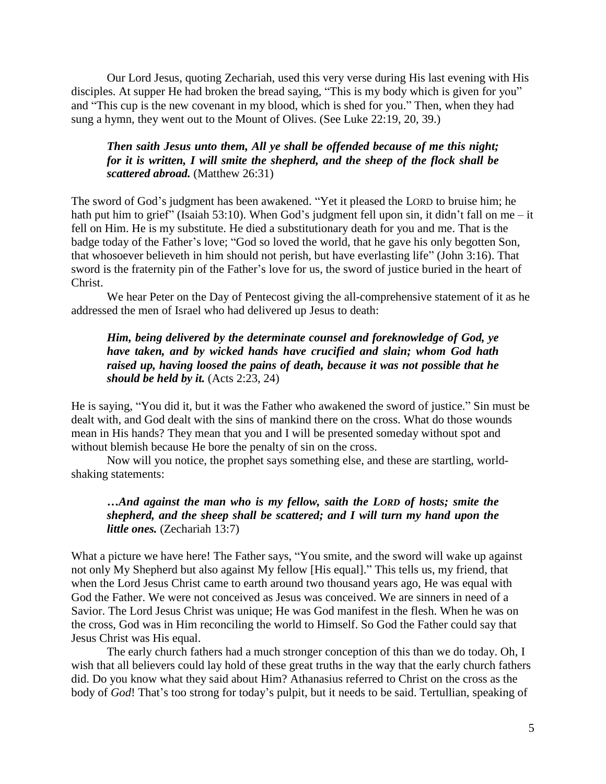Our Lord Jesus, quoting Zechariah, used this very verse during His last evening with His disciples. At supper He had broken the bread saying, "This is my body which is given for you" and "This cup is the new covenant in my blood, which is shed for you." Then, when they had sung a hymn, they went out to the Mount of Olives. (See Luke 22:19, 20, 39.)

## *Then saith Jesus unto them, All ye shall be offended because of me this night; for it is written, I will smite the shepherd, and the sheep of the flock shall be scattered abroad.* (Matthew 26:31)

The sword of God"s judgment has been awakened. "Yet it pleased the LORD to bruise him; he hath put him to grief" (Isaiah 53:10). When God's judgment fell upon sin, it didn't fall on me – it fell on Him. He is my substitute. He died a substitutionary death for you and me. That is the badge today of the Father"s love; "God so loved the world, that he gave his only begotten Son, that whosoever believeth in him should not perish, but have everlasting life" (John 3:16). That sword is the fraternity pin of the Father's love for us, the sword of justice buried in the heart of Christ.

We hear Peter on the Day of Pentecost giving the all-comprehensive statement of it as he addressed the men of Israel who had delivered up Jesus to death:

# *Him, being delivered by the determinate counsel and foreknowledge of God, ye have taken, and by wicked hands have crucified and slain; whom God hath raised up, having loosed the pains of death, because it was not possible that he should be held by it.* (Acts 2:23, 24)

He is saying, "You did it, but it was the Father who awakened the sword of justice." Sin must be dealt with, and God dealt with the sins of mankind there on the cross. What do those wounds mean in His hands? They mean that you and I will be presented someday without spot and without blemish because He bore the penalty of sin on the cross.

Now will you notice, the prophet says something else, and these are startling, worldshaking statements:

# *…And against the man who is my fellow, saith the LORD of hosts; smite the shepherd, and the sheep shall be scattered; and I will turn my hand upon the little ones.* (Zechariah 13:7)

What a picture we have here! The Father says, "You smite, and the sword will wake up against not only My Shepherd but also against My fellow [His equal]." This tells us, my friend, that when the Lord Jesus Christ came to earth around two thousand years ago, He was equal with God the Father. We were not conceived as Jesus was conceived. We are sinners in need of a Savior. The Lord Jesus Christ was unique; He was God manifest in the flesh. When he was on the cross, God was in Him reconciling the world to Himself. So God the Father could say that Jesus Christ was His equal.

The early church fathers had a much stronger conception of this than we do today. Oh, I wish that all believers could lay hold of these great truths in the way that the early church fathers did. Do you know what they said about Him? Athanasius referred to Christ on the cross as the body of *God*! That's too strong for today's pulpit, but it needs to be said. Tertullian, speaking of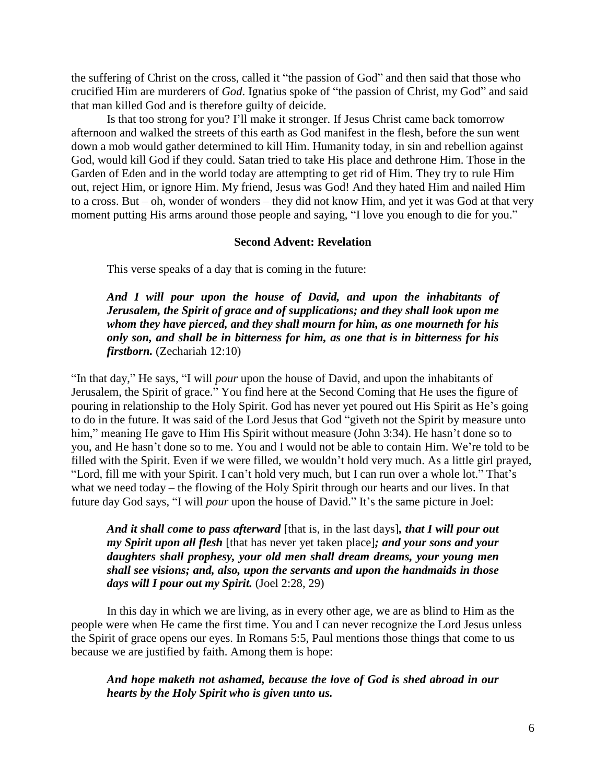the suffering of Christ on the cross, called it "the passion of God" and then said that those who crucified Him are murderers of *God*. Ignatius spoke of "the passion of Christ, my God" and said that man killed God and is therefore guilty of deicide.

Is that too strong for you? I"ll make it stronger. If Jesus Christ came back tomorrow afternoon and walked the streets of this earth as God manifest in the flesh, before the sun went down a mob would gather determined to kill Him. Humanity today, in sin and rebellion against God, would kill God if they could. Satan tried to take His place and dethrone Him. Those in the Garden of Eden and in the world today are attempting to get rid of Him. They try to rule Him out, reject Him, or ignore Him. My friend, Jesus was God! And they hated Him and nailed Him to a cross. But – oh, wonder of wonders – they did not know Him, and yet it was God at that very moment putting His arms around those people and saying, "I love you enough to die for you."

#### **Second Advent: Revelation**

This verse speaks of a day that is coming in the future:

*And I will pour upon the house of David, and upon the inhabitants of Jerusalem, the Spirit of grace and of supplications; and they shall look upon me whom they have pierced, and they shall mourn for him, as one mourneth for his only son, and shall be in bitterness for him, as one that is in bitterness for his firstborn.* (Zechariah 12:10)

"In that day," He says, "I will *pour* upon the house of David, and upon the inhabitants of Jerusalem, the Spirit of grace." You find here at the Second Coming that He uses the figure of pouring in relationship to the Holy Spirit. God has never yet poured out His Spirit as He"s going to do in the future. It was said of the Lord Jesus that God "giveth not the Spirit by measure unto him," meaning He gave to Him His Spirit without measure (John 3:34). He hasn't done so to you, and He hasn"t done so to me. You and I would not be able to contain Him. We"re told to be filled with the Spirit. Even if we were filled, we wouldn"t hold very much. As a little girl prayed, "Lord, fill me with your Spirit. I can"t hold very much, but I can run over a whole lot." That"s what we need today – the flowing of the Holy Spirit through our hearts and our lives. In that future day God says, "I will *pour* upon the house of David." It's the same picture in Joel:

*And it shall come to pass afterward* [that is, in the last days]*, that I will pour out my Spirit upon all flesh* [that has never yet taken place]*; and your sons and your daughters shall prophesy, your old men shall dream dreams, your young men shall see visions; and, also, upon the servants and upon the handmaids in those days will I pour out my Spirit.* (Joel 2:28, 29)

In this day in which we are living, as in every other age, we are as blind to Him as the people were when He came the first time. You and I can never recognize the Lord Jesus unless the Spirit of grace opens our eyes. In Romans 5:5, Paul mentions those things that come to us because we are justified by faith. Among them is hope:

*And hope maketh not ashamed, because the love of God is shed abroad in our hearts by the Holy Spirit who is given unto us.*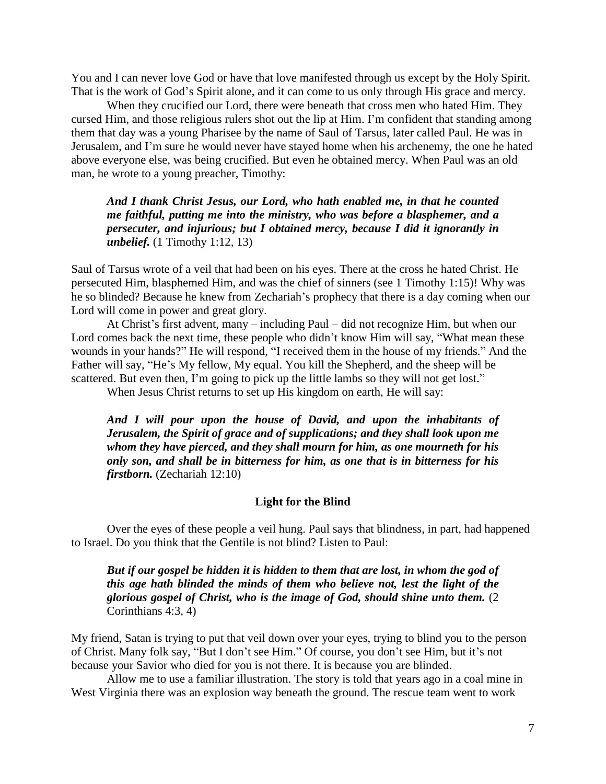You and I can never love God or have that love manifested through us except by the Holy Spirit. That is the work of God"s Spirit alone, and it can come to us only through His grace and mercy.

When they crucified our Lord, there were beneath that cross men who hated Him. They cursed Him, and those religious rulers shot out the lip at Him. I"m confident that standing among them that day was a young Pharisee by the name of Saul of Tarsus, later called Paul. He was in Jerusalem, and I"m sure he would never have stayed home when his archenemy, the one he hated above everyone else, was being crucified. But even he obtained mercy. When Paul was an old man, he wrote to a young preacher, Timothy:

*And I thank Christ Jesus, our Lord, who hath enabled me, in that he counted me faithful, putting me into the ministry, who was before a blasphemer, and a persecuter, and injurious; but I obtained mercy, because I did it ignorantly in unbelief.* (1 Timothy 1:12, 13)

Saul of Tarsus wrote of a veil that had been on his eyes. There at the cross he hated Christ. He persecuted Him, blasphemed Him, and was the chief of sinners (see 1 Timothy 1:15)! Why was he so blinded? Because he knew from Zechariah"s prophecy that there is a day coming when our Lord will come in power and great glory.

At Christ"s first advent, many – including Paul – did not recognize Him, but when our Lord comes back the next time, these people who didn't know Him will say, "What mean these wounds in your hands?" He will respond, "I received them in the house of my friends." And the Father will say, "He"s My fellow, My equal. You kill the Shepherd, and the sheep will be scattered. But even then, I'm going to pick up the little lambs so they will not get lost."

When Jesus Christ returns to set up His kingdom on earth, He will say:

*And I will pour upon the house of David, and upon the inhabitants of Jerusalem, the Spirit of grace and of supplications; and they shall look upon me whom they have pierced, and they shall mourn for him, as one mourneth for his only son, and shall be in bitterness for him, as one that is in bitterness for his firstborn.* (Zechariah 12:10)

### **Light for the Blind**

Over the eyes of these people a veil hung. Paul says that blindness, in part, had happened to Israel. Do you think that the Gentile is not blind? Listen to Paul:

*But if our gospel be hidden it is hidden to them that are lost, in whom the god of this age hath blinded the minds of them who believe not, lest the light of the glorious gospel of Christ, who is the image of God, should shine unto them.* (2 Corinthians 4:3, 4)

My friend, Satan is trying to put that veil down over your eyes, trying to blind you to the person of Christ. Many folk say, "But I don't see Him." Of course, you don't see Him, but it's not because your Savior who died for you is not there. It is because you are blinded.

Allow me to use a familiar illustration. The story is told that years ago in a coal mine in West Virginia there was an explosion way beneath the ground. The rescue team went to work